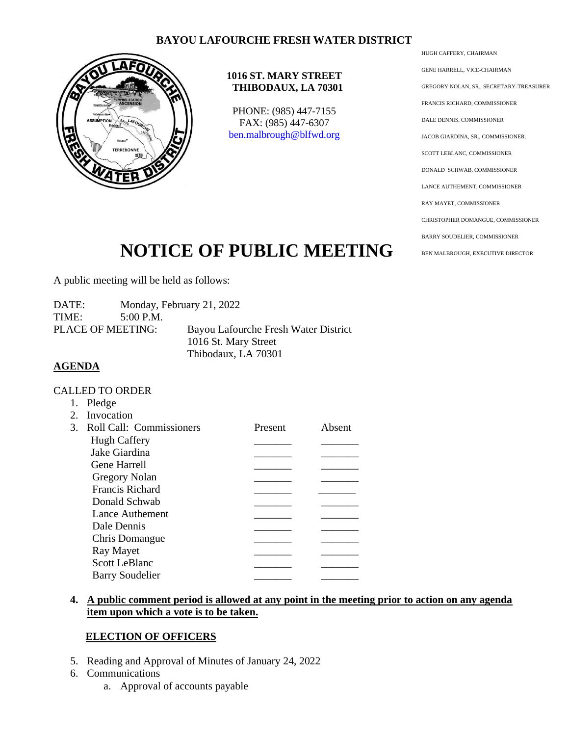## **BAYOU LAFOURCHE FRESH WATER DISTRICT**



#### **1016 ST. MARY STREET THIBODAUX, LA 70301**

PHONE: (985) 447-7155 FAX: (985) 447-6307 [ben.malbrough@blfwd.org](mailto:ben.malbrough@blfwd.org)

HUGH CAFFERY, CHAIRMAN GENE HARRELL, VICE-CHAIRMAN GREGORY NOLAN, SR., SECRETARY-TREASURER FRANCIS RICHARD, COMMISSIONER DALE DENNIS, COMMISSIONER JACOB GIARDINA, SR., COMMISSIONER. SCOTT LEBLANC, COMMISSIONER DONALD SCHWAB, COMMISSIONER LANCE AUTHEMENT, COMMISSIONER RAY MAYET, COMMISSIONER CHRISTOPHER DOMANGUE, COMMISSIONER BARRY SOUDELIER, COMMISSIONER BEN MALBROUGH, EXECUTIVE DIRECTOR

# **NOTICE OF PUBLIC MEETING**

A public meeting will be held as follows:

DATE: Monday, February 21, 2022 TIME: 5:00 P.M. PLACE OF MEETING: Bayou Lafourche Fresh Water District 1016 St. Mary Street Thibodaux, LA 70301

### **AGENDA**

### CALLED TO ORDER

|               | Pledge                   |         |        |
|---------------|--------------------------|---------|--------|
|               | Invocation               |         |        |
| $\mathcal{E}$ | Roll Call: Commissioners | Present | Absent |
|               | <b>Hugh Caffery</b>      |         |        |
|               | Jake Giardina            |         |        |
|               | <b>Gene Harrell</b>      |         |        |
|               | <b>Gregory Nolan</b>     |         |        |
|               | <b>Francis Richard</b>   |         |        |
|               | Donald Schwab            |         |        |
|               | Lance Authement          |         |        |
|               | Dale Dennis              |         |        |
|               | Chris Domangue           |         |        |
|               | Ray Mayet                |         |        |
|               | <b>Scott LeBlanc</b>     |         |        |
|               | <b>Barry Soudelier</b>   |         |        |
|               |                          |         |        |

### **4. A public comment period is allowed at any point in the meeting prior to action on any agenda item upon which a vote is to be taken.**

## **ELECTION OF OFFICERS**

- 5. Reading and Approval of Minutes of January 24, 2022
- 6. Communications
	- a. Approval of accounts payable